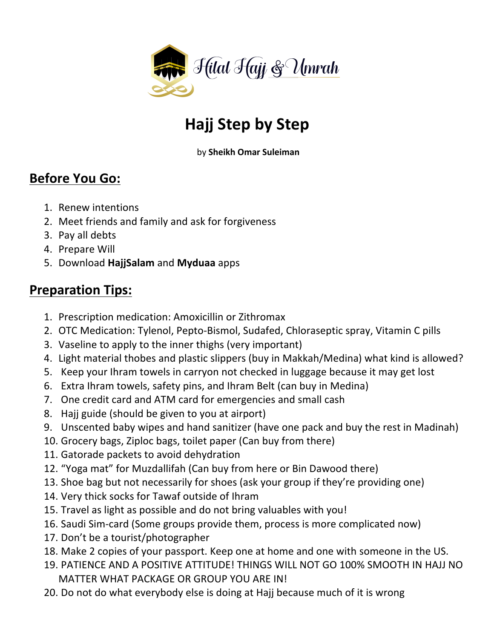

## **Hajj Step by Step**

by **Sheikh Omar Suleiman**

### **Before You Go:**

- 1. Renew intentions
- 2. Meet friends and family and ask for forgiveness
- 3. Pay all debts
- 4. Prepare Will
- 5. Download **HajjSalam** and **Myduaa** apps

#### **Preparation Tips:**

- 1. Prescription medication: Amoxicillin or Zithromax
- 2. OTC Medication: Tylenol, Pepto-Bismol, Sudafed, Chloraseptic spray, Vitamin C pills
- 3. Vaseline to apply to the inner thighs (very important)
- 4. Light material thobes and plastic slippers (buy in Makkah/Medina) what kind is allowed?
- 5. Keep your Ihram towels in carryon not checked in luggage because it may get lost
- 6. Extra Ihram towels, safety pins, and Ihram Belt (can buy in Medina)
- 7. One credit card and ATM card for emergencies and small cash
- 8. Hajj guide (should be given to you at airport)
- 9. Unscented baby wipes and hand sanitizer (have one pack and buy the rest in Madinah)
- 10. Grocery bags, Ziploc bags, toilet paper (Can buy from there)
- 11. Gatorade packets to avoid dehydration
- 12. "Yoga mat" for Muzdallifah (Can buy from here or Bin Dawood there)
- 13. Shoe bag but not necessarily for shoes (ask your group if they're providing one)
- 14. Very thick socks for Tawaf outside of Ihram
- 15. Travel as light as possible and do not bring valuables with you!
- 16. Saudi Sim-card (Some groups provide them, process is more complicated now)
- 17. Don't be a tourist/photographer
- 18. Make 2 copies of your passport. Keep one at home and one with someone in the US.
- 19. PATIENCE AND A POSITIVE ATTITUDE! THINGS WILL NOT GO 100% SMOOTH IN HAJJ NO MATTER WHAT PACKAGE OR GROUP YOU ARE IN!
- 20. Do not do what everybody else is doing at Hajj because much of it is wrong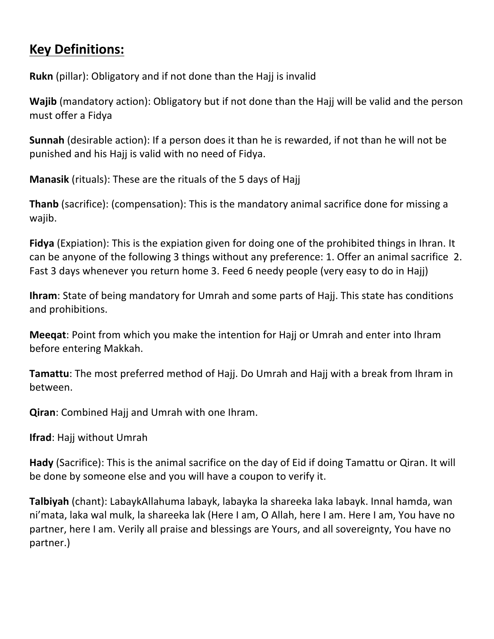### **Key Definitions:**

**Rukn** (pillar): Obligatory and if not done than the Hajj is invalid

**Wajib** (mandatory action): Obligatory but if not done than the Hajj will be valid and the person must offer a Fidya

**Sunnah** (desirable action): If a person does it than he is rewarded, if not than he will not be punished and his Hajj is valid with no need of Fidya.

**Manasik** (rituals): These are the rituals of the 5 days of Hajj

**Thanb** (sacrifice): (compensation): This is the mandatory animal sacrifice done for missing a wajib. 

**Fidya** (Expiation): This is the expiation given for doing one of the prohibited things in Ihran. It can be anyone of the following 3 things without any preference: 1. Offer an animal sacrifice 2. Fast 3 days whenever you return home 3. Feed 6 needy people (very easy to do in Hajj)

**Ihram**: State of being mandatory for Umrah and some parts of Hajj. This state has conditions and prohibitions.

**Meeqat**: Point from which you make the intention for Hajj or Umrah and enter into Ihram before entering Makkah.

**Tamattu**: The most preferred method of Hajj. Do Umrah and Hajj with a break from Ihram in between.

**Qiran:** Combined Hajj and Umrah with one Ihram.

**Ifrad:** Hajj without Umrah

**Hady** (Sacrifice): This is the animal sacrifice on the day of Eid if doing Tamattu or Qiran. It will be done by someone else and you will have a coupon to verify it.

**Talbiyah** (chant): LabaykAllahuma labayk, labayka la shareeka laka labayk. Innal hamda, wan ni'mata, laka wal mulk, la shareeka lak (Here I am, O Allah, here I am. Here I am, You have no partner, here I am. Verily all praise and blessings are Yours, and all sovereignty, You have no partner.)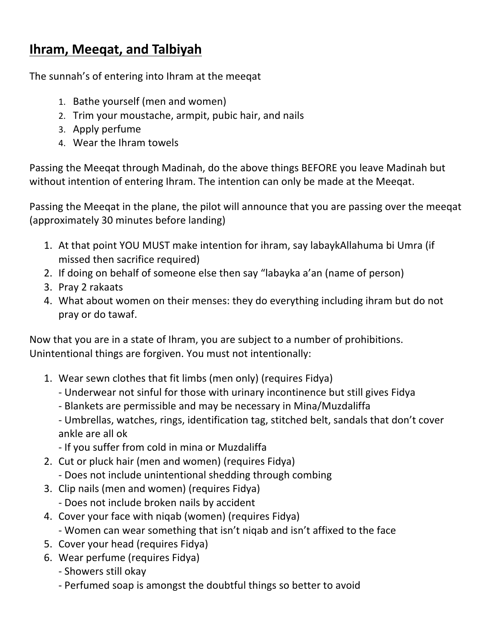### **Ihram, Meeqat, and Talbiyah**

The sunnah's of entering into Ihram at the meegat

- 1. Bathe yourself (men and women)
- 2. Trim your moustache, armpit, pubic hair, and nails
- 3. Apply perfume
- 4. Wear the Ihram towels

Passing the Meegat through Madinah, do the above things BEFORE you leave Madinah but without intention of entering Ihram. The intention can only be made at the Meeqat.

Passing the Meeqat in the plane, the pilot will announce that you are passing over the meeqat (approximately 30 minutes before landing)

- 1. At that point YOU MUST make intention for ihram, say labaykAllahuma bi Umra (if missed then sacrifice required)
- 2. If doing on behalf of so[meone](http://www.hajinformation.com/main/t25.htm) else then say "labayka a'an (name of person)
- 3. Pray 2 rakaats
- 4. What about women on their menses: they do everything including ihram but do not pray or do tawaf.

Now that you are in a state of Ihram, you are subject to a number of prohibitions. Unintentional things are forgiven. You must not intentionally:

- 1. Wear sewn clothes that fit limbs (men only) (requires Fidya)
	- Underwear not sinful for those with urinary incontinence but still gives Fidya
	- Blankets are permissible and may be necessary in Mina/Muzdaliffa

- Umbrellas, watches, rings, identification tag, stitched belt, sandals that don't cover ankle are all ok

- If you suffer from cold in mina or Muzdaliffa
- 2. Cut or pluck hair (men and women) (requires Fidya)
	- Does not include unintentional shedding through combing
- 3. Clip nails (men and women) (requires Fidya)
	- Does not include broken nails by accident
- 4. Cover your face with niqab (women) (requires Fidya) - Women can wear something that isn't niqab and isn't affixed to the face
- 5. Cover your head (requires Fidya)
- 6. Wear perfume (requires Fidya)
	- Showers still okay
	- Perfumed soap is amongst the doubtful things so better to avoid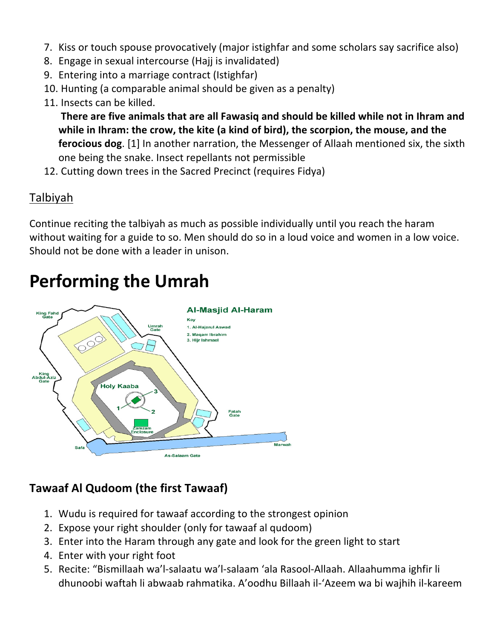- 7. Kiss or touch spouse provocatively (major istighfar and some scholars say sacrifice also)
- 8. Engage in sexual intercourse (Hajj is invalidated)
- 9. Entering into a marriage contract (Istighfar)
- 10. Hunting (a comparable animal should be given as a penalty)
- 11. Insects can be killed.

**There are five animals that are all Fawasig and should be killed while not in Ihram and** while in Ihram: the crow, the kite (a kind of bird), the scorpion, the mouse, and the **ferocious dog**. [1] In another narration, the Messenger of Allaah mentioned six, the sixth one being the snake. Insect repellants not permissible

12. Cutting down trees in the Sacred Precinct (requires Fidya)

#### Talbiyah

Continue reciting the talbiyah as much as possible individually until you reach the haram without waiting for a guide to so. Men should do so in a loud voice and women in a low voice. Should not be done with a leader in unison.

# **Performing the Umrah**



#### **Tawaaf Al Qudoom (the first Tawaaf)**

- 1. Wudu is required for tawaaf according to the strongest opinion
- 2. Expose your right shoulder (only for tawaaf al qudoom)
- 3. Enter into the Haram through any gate and look for the green light to start
- 4. Enter with your right foot
- 5. Recite: "Bismillaah wa'l-salaatu wa'l-salaam 'ala Rasool-Allaah. Allaahumma ighfir li dhunoobi waftah li abwaab rahmatika. A'oodhu Billaah il-'Azeem wa bi wajhih il-kareem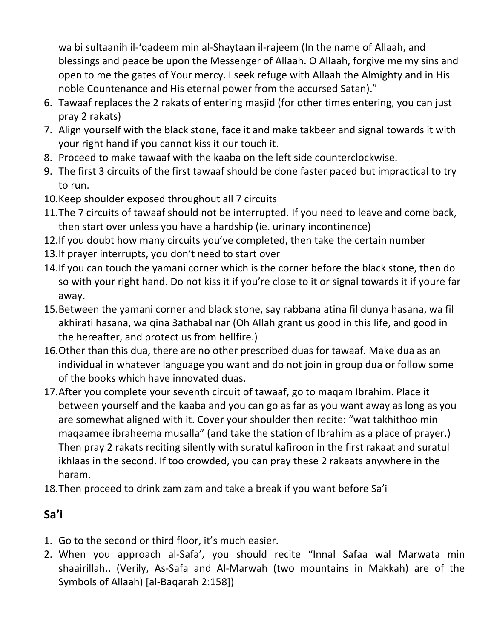wa bi sultaanih il-'qadeem min al-Shaytaan il-rajeem (In the name of Allaah, and blessings and peace be upon the Messenger of Allaah. O Allaah, forgive me my sins and open to me the gates of Your mercy. I seek refuge with Allaah the Almighty and in His noble Countenance and His eternal power from the accursed Satan)."

- 6. Tawaaf replaces the 2 rakats of entering masjid (for other times entering, you can just pray 2 rakats)
- 7. Align yourself with the black stone, face it and make takbeer and signal towards it with your right hand if you cannot kiss it our touch it.
- 8. Proceed to make tawaaf with the kaaba on the left side counterclockwise.
- 9. The first 3 circuits of the first tawaaf should be done faster paced but impractical to try to run.
- 10.Keep shoulder exposed throughout all 7 circuits
- 11. The 7 circuits of tawaaf should not be interrupted. If you need to leave and come back, then start over unless you have a hardship (ie. urinary incontinence)
- 12. If you doubt how many circuits you've completed, then take the certain number
- 13. If prayer interrupts, you don't need to start over
- 14. If you can touch the yamani corner which is the corner before the black stone, then do so with your right hand. Do not kiss it if you're close to it or signal towards it if youre far away.
- 15.Between the yamani corner and black stone, say rabbana atina fil dunya hasana, wa fil akhirati hasana, wa qina 3athabal nar (Oh Allah grant us good in this life, and good in the hereafter, and protect us from hellfire.)
- 16. Other than this dua, there are no other prescribed duas for tawaaf. Make dua as an individual in whatever language you want and do not join in group dua or follow some of the books which have innovated duas.
- 17. After you complete your seventh circuit of tawaaf, go to maqam Ibrahim. Place it between yourself and the kaaba and you can go as far as you want away as long as you are somewhat aligned with it. Cover your shoulder then recite: "wat takhithoo min maqaamee ibraheema musalla" (and take the station of Ibrahim as a place of prayer.) Then pray 2 rakats reciting silently with suratul kafiroon in the first rakaat and suratul ikhlaas in the second. If too crowded, you can pray these 2 rakaats anywhere in the haram.
- 18. Then proceed to drink zam zam and take a break if you want before Sa'i

### **Sa'i**

- 1. Go to the second or third floor, it's much easier.
- 2. When you approach al-Safa', you should recite "Innal Safaa wal Marwata min shaairillah.. (Verily, As-Safa and Al-Marwah (two mountains in Makkah) are of the Symbols of Allaah) [al-Baqarah 2:158])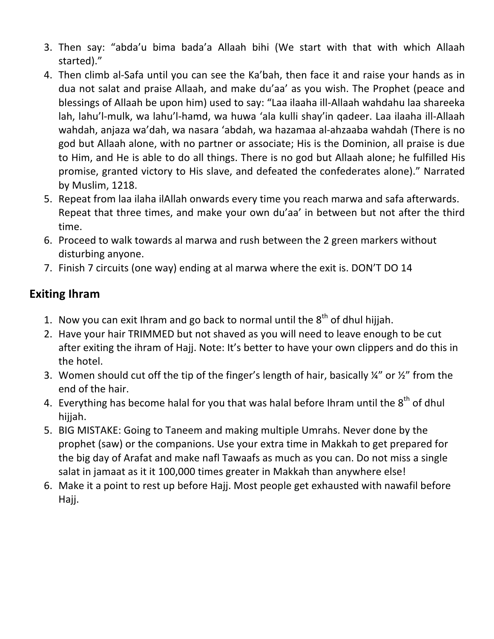- 3. Then say: "abda'u bima bada'a Allaah bihi (We start with that with which Allaah started)."
- 4. Then climb al-Safa until you can see the Ka'bah, then face it and raise your hands as in dua not salat and praise Allaah, and make du'aa' as you wish. The Prophet (peace and blessings of Allaah be upon him) used to say: "Laa ilaaha ill-Allaah wahdahu laa shareeka lah, lahu'l-mulk, wa lahu'l-hamd, wa huwa 'ala kulli shay'in qadeer. Laa ilaaha ill-Allaah wahdah, anjaza wa'dah, wa nasara 'abdah, wa hazamaa al-ahzaaba wahdah (There is no god but Allaah alone, with no partner or associate; His is the Dominion, all praise is due to Him, and He is able to do all things. There is no god but Allaah alone; he fulfilled His promise, granted victory to His slave, and defeated the confederates alone)." Narrated by Muslim, 1218.
- 5. Repeat from laa ilaha ilAllah onwards every time you reach marwa and safa afterwards. Repeat that three times, and make your own du'aa' in between but not after the third time.
- 6. Proceed to walk towards al marwa and rush between the 2 green markers without disturbing anyone.
- 7. Finish 7 circuits (one way) ending at al marwa where the exit is. DON'T DO 14

#### **Exiting Ihram**

- 1. Now you can exit Ihram and go back to normal until the  $8<sup>th</sup>$  of dhul hijjah.
- 2. Have your hair TRIMMED but not shaved as you will need to leave enough to be cut after exiting the ihram of Hajj. Note: It's better to have your own clippers and do this in the hotel.
- 3. Women should cut off the tip of the finger's length of hair, basically  $\frac{1}{4}$ " or  $\frac{1}{2}$ " from the end of the hair.
- 4. Everything has become halal for you that was halal before Ihram until the  $8<sup>th</sup>$  of dhul hijjah.
- 5. BIG MISTAKE: Going to Taneem and making multiple Umrahs. Never done by the prophet (saw) or the companions. Use your extra time in Makkah to get prepared for the big day of Arafat and make nafl Tawaafs as much as you can. Do not miss a single salat in jamaat as it it 100,000 times greater in Makkah than anywhere else!
- 6. Make it a point to rest up before Hajj. Most people get exhausted with nawafil before Hajj.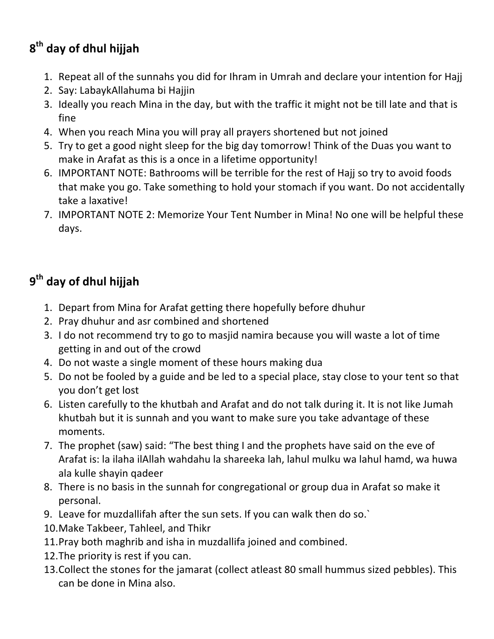## **8th day of dhul hijjah**

- 1. Repeat all of the sunnahs you did for Ihram in Umrah and declare your intention for Hajj
- 2. Say: LabaykAllahuma bi Hajjin
- 3. Ideally you reach Mina in the day, but with the traffic it might not be till late and that is fine
- 4. When you reach Mina you will pray all prayers shortened but not joined
- 5. Try to get a good night sleep for the big day tomorrow! Think of the Duas you want to make in Arafat as this is a once in a lifetime opportunity!
- 6. IMPORTANT NOTE: Bathrooms will be terrible for the rest of Hajj so try to avoid foods that make you go. Take something to hold your stomach if you want. Do not accidentally take a laxative!
- 7. IMPORTANT NOTE 2: Memorize Your Tent Number in Mina! No one will be helpful these days.

## **9th day of dhul hijjah**

- 1. Depart from Mina for Arafat getting there hopefully before dhuhur
- 2. Pray dhuhur and asr combined and shortened
- 3. I do not recommend try to go to masjid namira because you will waste a lot of time getting in and out of the crowd
- 4. Do not waste a single moment of these hours making dua
- 5. Do not be fooled by a guide and be led to a special place, stay close to your tent so that you don't get lost
- 6. Listen carefully to the khutbah and Arafat and do not talk during it. It is not like Jumah khutbah but it is sunnah and you want to make sure you take advantage of these moments.
- 7. The prophet (saw) said: "The best thing I and the prophets have said on the eve of Arafat is: la ilaha ilAllah wahdahu la shareeka lah, lahul mulku wa lahul hamd, wa huwa ala kulle shayin qadeer
- 8. There is no basis in the sunnah for congregational or group dua in Arafat so make it personal.
- 9. Leave for muzdallifah after the sun sets. If you can walk then do so.
- 10. Make Takbeer, Tahleel, and Thikr
- 11. Pray both maghrib and isha in muzdallifa joined and combined.
- 12. The priority is rest if you can.
- 13. Collect the stones for the jamarat (collect atleast 80 small hummus sized pebbles). This can be done in Mina also.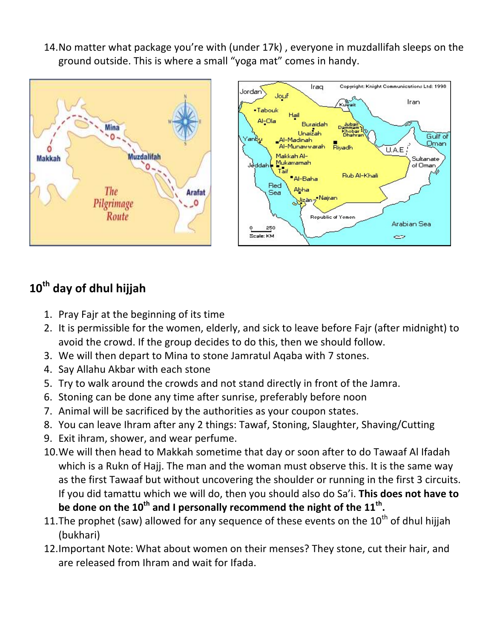14. No matter what package you're with (under 17k), everyone in muzdallifah sleeps on the ground outside. This is where a small "yoga mat" comes in handy.





## **10th day of dhul hijjah**

- 1. Pray Fajr at the beginning of its time
- 2. It is permissible for the women, elderly, and sick to leave before Fajr (after midnight) to avoid the crowd. If the group decides to do this, then we should follow.
- 3. We will then depart to Mina to stone Jamratul Agaba with 7 stones.
- 4. Say Allahu Akbar with each stone
- 5. Try to walk around the crowds and not stand directly in front of the Jamra.
- 6. Stoning can be done any time after sunrise, preferably before noon
- 7. Animal will be sacrificed by the authorities as your coupon states.
- 8. You can leave Ihram after any 2 things: Tawaf, Stoning, Slaughter, Shaving/Cutting
- 9. Exit ihram, shower, and wear perfume.
- 10. We will then head to Makkah sometime that day or soon after to do Tawaaf Al Ifadah which is a Rukn of Hajj. The man and the woman must observe this. It is the same way as the first Tawaaf but without uncovering the shoulder or running in the first 3 circuits. If you did tamattu which we will do, then you should also do Sa'i. This does not have to be done on the  $10^{th}$  and I personally recommend the night of the  $11^{th}$ .
- 11. The prophet (saw) allowed for any sequence of these events on the  $10^{th}$  of dhul hijjah (bukhari)
- 12. Important Note: What about women on their menses? They stone, cut their hair, and are released from Ihram and wait for Ifada.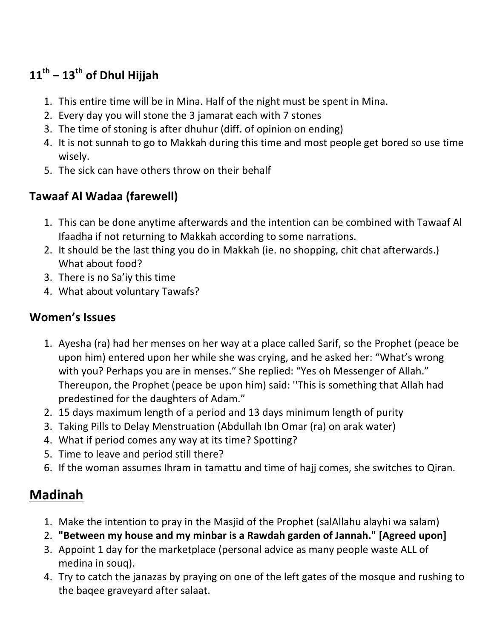## **11th – 13th of Dhul Hijjah**

- 1. This entire time will be in Mina. Half of the night must be spent in Mina.
- 2. Every day you will stone the 3 jamarat each with 7 stones
- 3. The time of stoning is after dhuhur (diff. of opinion on ending)
- 4. It is not sunnah to go to Makkah during this time and most people get bored so use time wisely.
- 5. The sick can have others throw on their behalf

### **Tawaaf Al Wadaa (farewell)**

- 1. This can be done anytime afterwards and the intention can be combined with Tawaaf Al Ifaadha if not returning to Makkah according to some narrations.
- 2. It should be the last thing you do in Makkah (ie. no shopping, chit chat afterwards.) What about food?
- 3. There is no Sa'iy this time
- 4. What about voluntary Tawafs?

#### **Women's Issues**

- 1. Ayesha (ra) had her menses on her way at a place called Sarif, so the Prophet (peace be upon him) entered upon her while she was crying, and he asked her: "What's wrong with you? Perhaps you are in menses." She replied: "Yes oh Messenger of Allah." Thereupon, the Prophet (peace be upon him) said: "This is something that Allah had predestined for the daughters of Adam."
- 2. 15 days maximum length of a period and 13 days minimum length of purity
- 3. Taking Pills to Delay Menstruation (Abdullah Ibn Omar (ra) on arak water)
- 4. What if period comes any way at its time? Spotting?
- 5. Time to leave and period still there?
- 6. If the woman assumes Ihram in tamattu and time of hajj comes, she switches to Qiran.

## **Madinah**

- 1. Make the intention to pray in the Masjid of the Prophet (salAllahu alayhi wa salam)
- 2. "Between my house and my minbar is a Rawdah garden of Jannah." [Agreed upon]
- 3. Appoint 1 day for the marketplace (personal advice as many people waste ALL of medina in soug).
- 4. Try to catch the janazas by praying on one of the left gates of the mosque and rushing to the baqee graveyard after salaat.